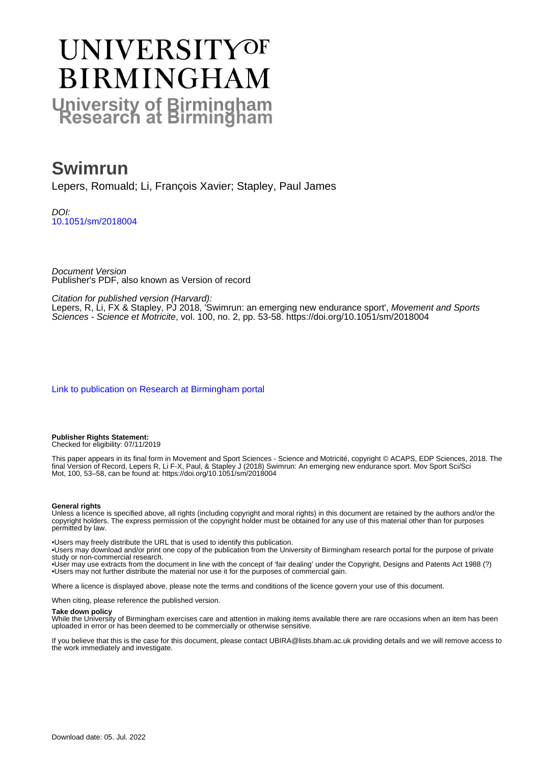# UNIVERSITYOF **BIRMINGHAM University of Birmingham**

# **Swimrun**

Lepers, Romuald; Li, François Xavier; Stapley, Paul James

DOI: [10.1051/sm/2018004](https://doi.org/10.1051/sm/2018004)

Document Version Publisher's PDF, also known as Version of record

Citation for published version (Harvard):

Lepers, R, Li, FX & Stapley, PJ 2018, 'Swimrun: an emerging new endurance sport', Movement and Sports Sciences - Science et Motricite, vol. 100, no. 2, pp. 53-58.<https://doi.org/10.1051/sm/2018004>

[Link to publication on Research at Birmingham portal](https://birmingham.elsevierpure.com/en/publications/e8c0b779-f5c2-47b4-913a-2b1f04ea176e)

**Publisher Rights Statement:** Checked for eligibility: 07/11/2019

This paper appears in its final form in Movement and Sport Sciences - Science and Motricité, copyright © ACAPS, EDP Sciences, 2018. The final Version of Record, Lepers R, Li F-X, Paul, & Stapley J (2018) Swimrun: An emerging new endurance sport. Mov Sport Sci/Sci Mot, 100, 53–58, can be found at: https://doi.org/10.1051/sm/2018004

#### **General rights**

Unless a licence is specified above, all rights (including copyright and moral rights) in this document are retained by the authors and/or the copyright holders. The express permission of the copyright holder must be obtained for any use of this material other than for purposes permitted by law.

• Users may freely distribute the URL that is used to identify this publication.

• Users may download and/or print one copy of the publication from the University of Birmingham research portal for the purpose of private study or non-commercial research.

• User may use extracts from the document in line with the concept of 'fair dealing' under the Copyright, Designs and Patents Act 1988 (?) • Users may not further distribute the material nor use it for the purposes of commercial gain.

Where a licence is displayed above, please note the terms and conditions of the licence govern your use of this document.

When citing, please reference the published version.

#### **Take down policy**

While the University of Birmingham exercises care and attention in making items available there are rare occasions when an item has been uploaded in error or has been deemed to be commercially or otherwise sensitive.

If you believe that this is the case for this document, please contact UBIRA@lists.bham.ac.uk providing details and we will remove access to the work immediately and investigate.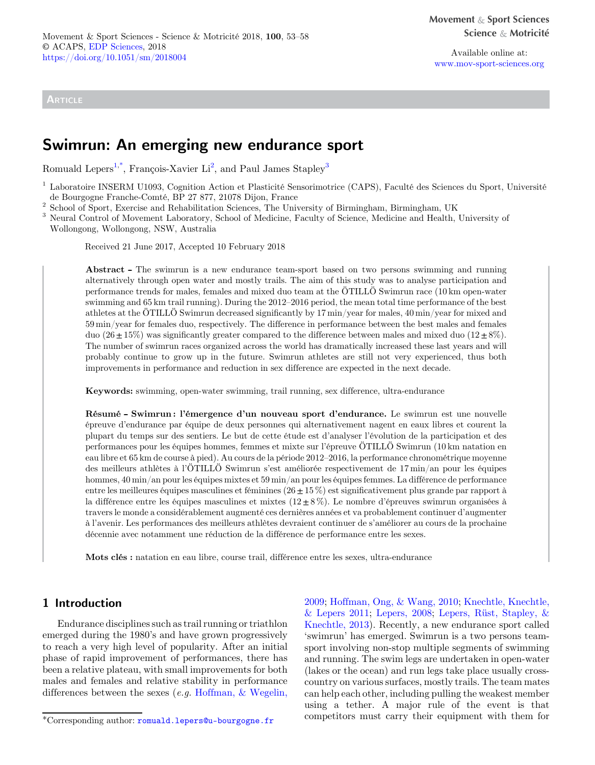**ARTICLE** 

Available online at: [www.mov-sport-sciences.org](https://www.mov-sport-sciences.org)

# Swimrun: An emerging new endurance sport

Romuald Lepers<sup>1,\*</sup>, François-Xavier Li<sup>2</sup>, and Paul James Stapley<sup>3</sup>

<sup>1</sup> Laboratoire INSERM U1093, Cognition Action et Plasticité Sensorimotrice (CAPS), Faculté des Sciences du Sport, Université

<sup>2</sup> School of Sport, Exercise and Rehabilitation Sciences, The University of Birmingham, Birmingham, UK<br><sup>3</sup> Neural Control of Movement Laboratory, School of Medicine, Faculty of Science, Medicine and Health, University of

Wollongong, Wollongong, NSW, Australia

Received 21 June 2017, Accepted 10 February 2018

Abstract - The swimrun is a new endurance team-sport based on two persons swimming and running alternatively through open water and mostly trails. The aim of this study was to analyse participation and performance trends for males, females and mixed duo team at the ÖTILLÖ Swimrun race (10 km open-water swimming and 65 km trail running). During the 2012–2016 period, the mean total time performance of the best athletes at the ÖTILLÖ Swimrun decreased significantly by 17 min/year for males, 40 min/year for mixed and 59 min/year for females duo, respectively. The difference in performance between the best males and females duo (26 $\pm$ 15%) was significantly greater compared to the difference between males and mixed duo (12 $\pm$ 8%). The number of swimrun races organized across the world has dramatically increased these last years and will probably continue to grow up in the future. Swimrun athletes are still not very experienced, thus both improvements in performance and reduction in sex difference are expected in the next decade.

Keywords: swimming, open-water swimming, trail running, sex difference, ultra-endurance

Résumé - Swimrun : l'émergence d'un nouveau sport d'endurance. Le swimrun est une nouvelle épreuve d'endurance par équipe de deux personnes qui alternativement nagent en eaux libres et courent la plupart du temps sur des sentiers. Le but de cette étude est d'analyser l'évolution de la participation et des performances pour les équipes hommes, femmes et mixte sur l'épreuve ÖTILLÖ Swimrun (10 km natation en eau libre et 65 km de course à pied). Au cours de la période 2012–2016, la performance chronométrique moyenne des meilleurs athlètes à l'ÖTILLÖ Swimrun s'est améliorée respectivement de 17 min/an pour les équipes hommes, 40 min/an pour les équipes mixtes et 59 min/an pour les équipes femmes. La différence de performance entre les meilleures équipes masculines et féminines ( $26 \pm 15\%$ ) est significativement plus grande par rapport à la différence entre les équipes masculines et mixtes  $(12\pm8\%)$ . Le nombre d'épreuves swimrun organisées à travers le monde a considérablement augmenté ces dernières années et va probablement continuer d'augmenter à l'avenir. Les performances des meilleurs athlètes devraient continuer de s'améliorer au cours de la prochaine décennie avec notamment une réduction de la différence de performance entre les sexes.

Mots clés : natation en eau libre, course trail, différence entre les sexes, ultra-endurance

## 1 Introduction

Endurance disciplines such as trail running or triathlon emerged during the 1980's and have grown progressively to reach a very high level of popularity. After an initial phase of rapid improvement of performances, there has been a relative plateau, with small improvements for both males and females and relative stability in performance differences between the sexes (e.g. [Hoffman, & Wegelin,](#page-6-0)

[2009;](#page-6-0) [Hoffman, Ong, & Wang, 2010;](#page-6-0) [Knechtle, Knechtle,](#page-6-0) [& Lepers 2011;](#page-6-0) [Lepers, 2008](#page-6-0); [Lepers, Rüst, Stapley, &](#page-6-0) [Knechtle, 2013](#page-6-0)). Recently, a new endurance sport called 'swimrun' has emerged. Swimrun is a two persons teamsport involving non-stop multiple segments of swimming and running. The swim legs are undertaken in open-water (lakes or the ocean) and run legs take place usually crosscountry on various surfaces, mostly trails. The team mates can help each other, including pulling the weakest member using a tether. A major rule of the event is that competitors must carry their equipment with them for \*Corresponding author: [romuald.lepers@u-bourgogne.fr](mailto:romuald.lepers@u-bourgogne.fr)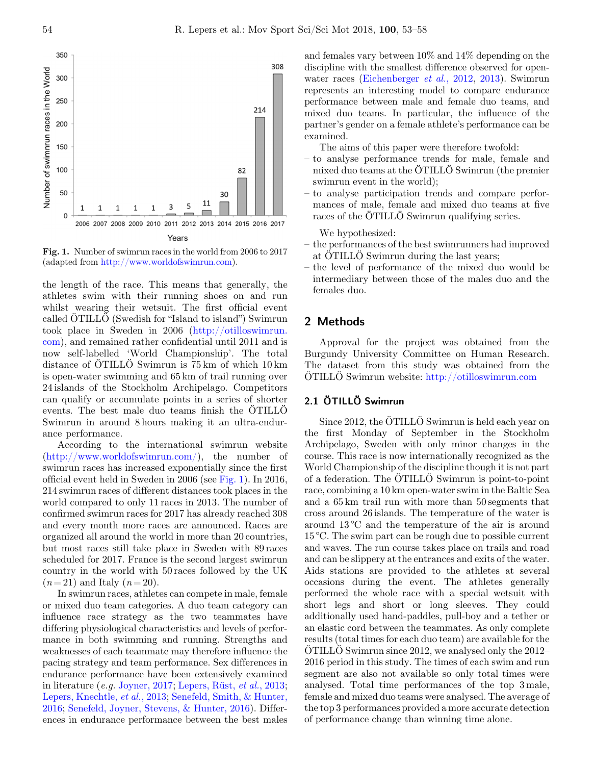

Fig. 1. Number of swimrun races in the world from 2006 to 2017 (adapted from <http://www.worldofswimrun.com>).

the length of the race. This means that generally, the athletes swim with their running shoes on and run whilst wearing their wetsuit. The first official event called ÖTILLÖ (Swedish for "Island to island") Swimrun took place in Sweden in 2006 ([http://otilloswimrun.](http://otilloswimrun.com) [com](http://otilloswimrun.com)), and remained rather confidential until 2011 and is now self-labelled 'World Championship'. The total distance of ÖTILLÖ Swimrun is 75 km of which 10 km is open-water swimming and 65 km of trail running over 24 islands of the Stockholm Archipelago. Competitors can qualify or accumulate points in a series of shorter events. The best male duo teams finish the ÖTILLÖ Swimrun in around 8 hours making it an ultra-endurance performance.

According to the international swimrun website [\(http://www.worldofswimrun.com/](http://www.worldofswimrun.com)), the number of swimrun races has increased exponentially since the first official event held in Sweden in 2006 (see Fig. 1). In 2016, 214 swimrun races of different distances took places in the world compared to only 11 races in 2013. The number of confirmed swimrun races for 2017 has already reached 308 and every month more races are announced. Races are organized all around the world in more than 20 countries, but most races still take place in Sweden with 89 races scheduled for 2017. France is the second largest swimrun country in the world with 50 races followed by the UK  $(n=21)$  and Italy  $(n=20)$ .

In swimrun races, athletes can compete in male, female or mixed duo team categories. A duo team category can influence race strategy as the two teammates have differing physiological characteristics and levels of performance in both swimming and running. Strengths and weaknesses of each teammate may therefore influence the pacing strategy and team performance. Sex differences in endurance performance have been extensively examined in literature (e.g. [Joyner, 2017;](#page-6-0) [Lepers, Rüst,](#page-6-0) et al., 2013; [Lepers, Knechtle,](#page-6-0) et al., 2013; [Senefeld, Smith, & Hunter,](#page-6-0) [2016](#page-6-0); [Senefeld, Joyner, Stevens, & Hunter, 2016](#page-6-0)). Differences in endurance performance between the best males and females vary between 10% and 14% depending on the discipline with the smallest difference observed for openwater races ([Eichenberger](#page-6-0) et al., 2012, [2013](#page-6-0)). Swimrun represents an interesting model to compare endurance performance between male and female duo teams, and mixed duo teams. In particular, the influence of the partner's gender on a female athlete's performance can be examined.

The aims of this paper were therefore twofold:

- to analyse performance trends for male, female and mixed duo teams at the ÖTILLÖ Swimrun (the premier swimrun event in the world);
- to analyse participation trends and compare performances of male, female and mixed duo teams at five races of the ÖTILLÖ Swimrun qualifying series.

We hypothesized:

- the performances of the best swimrunners had improved at ÖTILLÖ Swimrun during the last years;
- the level of performance of the mixed duo would be intermediary between those of the males duo and the females duo.

#### 2 Methods

Approval for the project was obtained from the Burgundy University Committee on Human Research. The dataset from this study was obtained from the ÖTILLÖ Swimrun website: <http://otilloswimrun.com>

#### 2.1 ÖTILLÖ Swimrun

Since 2012, the ÖTILLÖ Swimrun is held each year on the first Monday of September in the Stockholm Archipelago, Sweden with only minor changes in the course. This race is now internationally recognized as the World Championship of the discipline though it is not part of a federation. The ÖTILLÖ Swimrun is point-to-point race, combining a 10 km open-water swim in the Baltic Sea and a 65 km trail run with more than 50 segments that cross around 26 islands. The temperature of the water is around 13 °C and the temperature of the air is around 15 °C. The swim part can be rough due to possible current and waves. The run course takes place on trails and road and can be slippery at the entrances and exits of the water. Aids stations are provided to the athletes at several occasions during the event. The athletes generally performed the whole race with a special wetsuit with short legs and short or long sleeves. They could additionally used hand-paddles, pull-boy and a tether or an elastic cord between the teammates. As only complete results (total times for each duo team) are available for the ÖTILLÖ Swimrun since 2012, we analysed only the 2012– 2016 period in this study. The times of each swim and run segment are also not available so only total times were analysed. Total time performances of the top 3 male, female and mixed duo teams were analysed. The average of the top 3 performances provided a more accurate detection of performance change than winning time alone.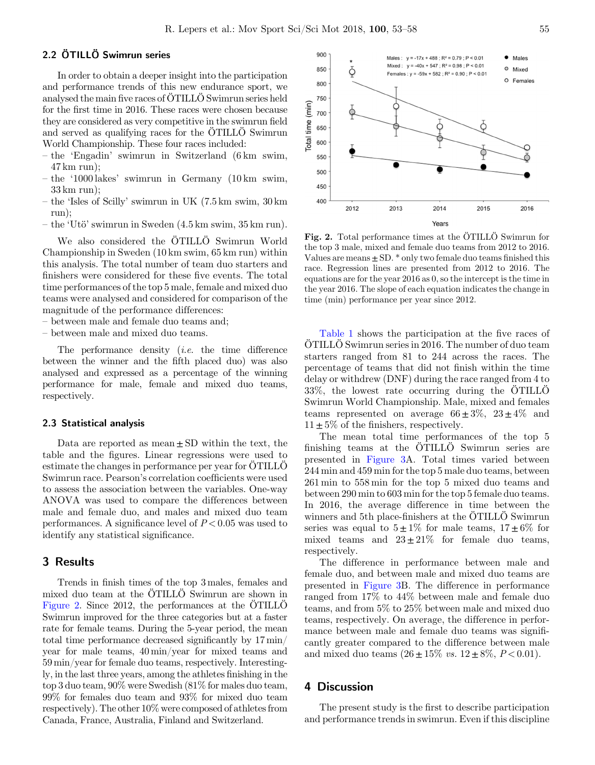#### 2.2 ÖTILLÖ Swimrun series

In order to obtain a deeper insight into the participation and performance trends of this new endurance sport, we analysed the main five races of ÖTILLÖ Swimrun series held for the first time in 2016. These races were chosen because they are considered as very competitive in the swimrun field and served as qualifying races for the ÖTILLÖ Swimrun World Championship. These four races included:

- the 'Engadin' swimrun in Switzerland (6 km swim, 47 km run);
- the '1000 lakes' swimrun in Germany (10 km swim, 33 km run);
- the 'Isles of Scilly' swimrun in UK (7.5 km swim, 30 km run);
- the 'Utö' swimrun in Sweden (4.5 km swim, 35 km run).

We also considered the ÖTILLÖ Swimrun World Championship in Sweden (10 km swim, 65 km run) within this analysis. The total number of team duo starters and finishers were considered for these five events. The total time performances of the top 5 male, female and mixed duo teams were analysed and considered for comparison of the magnitude of the performance differences:

- between male and female duo teams and;
- between male and mixed duo teams.

The performance density (i.e. the time difference between the winner and the fifth placed duo) was also analysed and expressed as a percentage of the winning performance for male, female and mixed duo teams, respectively.

#### 2.3 Statistical analysis

Data are reported as mean $\pm SD$  within the text, the table and the figures. Linear regressions were used to estimate the changes in performance per year for ÖTILLÖ Swimrun race. Pearson's correlation coefficients were used to assess the association between the variables. One-way ANOVA was used to compare the differences between male and female duo, and males and mixed duo team performances. A significance level of  $P < 0.05$  was used to identify any statistical significance.

## 3 Results

Trends in finish times of the top 3 males, females and mixed duo team at the ÖTILLÖ Swimrun are shown in Figure 2. Since 2012, the performances at the ÖTILLÖ Swimrun improved for the three categories but at a faster rate for female teams. During the 5-year period, the mean total time performance decreased significantly by 17 min/ year for male teams, 40 min/year for mixed teams and 59 min/year for female duo teams, respectively. Interestingly, in the last three years, among the athletes finishing in the top 3 duo team, 90% were Swedish (81% for males duo team, 99% for females duo team and 93% for mixed duo team respectively). The other 10% were composed of athletes from Canada, France, Australia, Finland and Switzerland.



Fig. 2. Total performance times at the ÖTILLÖ Swimrun for the top 3 male, mixed and female duo teams from 2012 to 2016. Values are means  $\pm$  SD.  $*$  only two female duo teams finished this race. Regression lines are presented from 2012 to 2016. The equations are for the year 2016 as 0, so the intercept is the time in the year 2016. The slope of each equation indicates the change in time (min) performance per year since 2012.

[Table 1](#page-4-0) shows the participation at the five races of ÖTILLÖ Swimrun series in 2016. The number of duo team starters ranged from 81 to 244 across the races. The percentage of teams that did not finish within the time delay or withdrew (DNF) during the race ranged from 4 to 33%, the lowest rate occurring during the ÖTILLÖ Swimrun World Championship. Male, mixed and females teams represented on average  $66 \pm 3\%$ ,  $23 \pm 4\%$  and  $11 \pm 5\%$  of the finishers, respectively.

The mean total time performances of the top 5 finishing teams at the ÖTILLÖ Swimrun series are presented in [Figure 3A](#page-4-0). Total times varied between 244 min and 459 min for the top 5 male duo teams, between 261 min to 558 min for the top 5 mixed duo teams and between 290 min to 603 min for the top 5 female duo teams. In 2016, the average difference in time between the winners and 5th place-finishers at the ÖTILLÖ Swimrun series was equal to  $5\pm1\%$  for male teams,  $17\pm6\%$  for mixed teams and  $23 \pm 21\%$  for female duo teams, respectively.

The difference in performance between male and female duo, and between male and mixed duo teams are presented in [Figure 3](#page-4-0)B. The difference in performance ranged from 17% to 44% between male and female duo teams, and from 5% to 25% between male and mixed duo teams, respectively. On average, the difference in performance between male and female duo teams was significantly greater compared to the difference between male and mixed duo teams  $(26 \pm 15\% \text{ vs. } 12 \pm 8\%, P < 0.01)$ .

#### 4 Discussion

The present study is the first to describe participation and performance trends in swimrun. Even if this discipline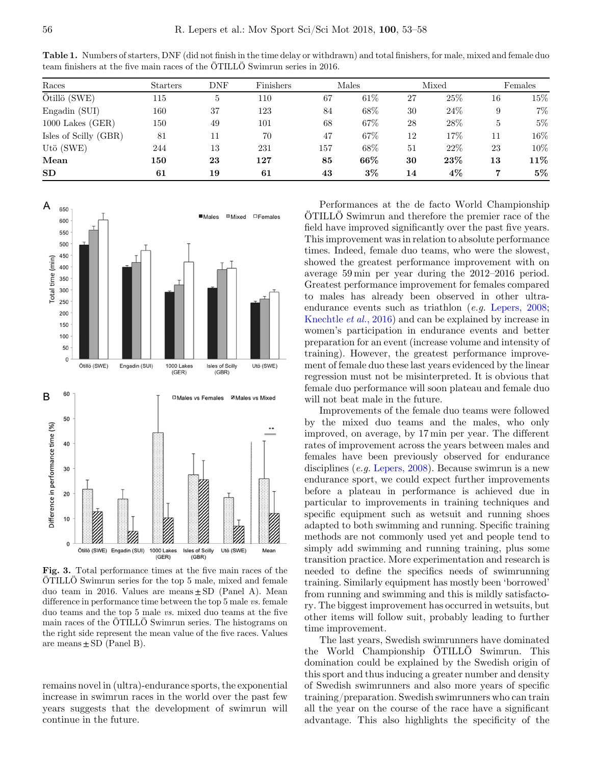| Races                 | <b>Starters</b> | <b>DNF</b> | Finishers | Males |       | Mixed |       | Females |        |
|-----------------------|-----------------|------------|-----------|-------|-------|-------|-------|---------|--------|
| Ötillö (SWE)          | 115             | 5          | 110       | 67    | 61%   | 27    | 25\%  | 16      | $15\%$ |
| Engadin (SUI)         | 160             | 37         | 123       | 84    | 68\%  | 30    | 24%   | 9       | 7%     |
| $1000$ Lakes $(GER)$  | 150             | 49         | 101       | 68    | 67\%  | 28    | 28\%  | 5       | $5\%$  |
| Isles of Scilly (GBR) | 81              | 11         | 70        | 47    | 67\%  | 12    | 17%   | 11      | 16%    |
| Utö (SWE)             | 244             | 13         | 231       | 157   | 68\%  | 51    | 22%   | 23      | 10%    |
| Mean                  | 150             | 23         | 127       | 85    | 66%   | 30    | 23%   | 13      | 11%    |
| SD                    | 61              | 19         | 61        | 43    | $3\%$ | 14    | $4\%$ |         | $5\%$  |

<span id="page-4-0"></span>Table 1. Numbers of starters, DNF (did not finish in the time delay or withdrawn) and total finishers, for male, mixed and female duo team finishers at the five main races of the ÖTILLÖ Swimrun series in 2016.



Fig. 3. Total performance times at the five main races of the ÖTILLÖ Swimrun series for the top 5 male, mixed and female duo team in 2016. Values are means $\pm$ SD (Panel A). Mean difference in performance time between the top 5 male vs. female duo teams and the top 5 male vs. mixed duo teams at the five main races of the ÖTILLÖ Swimrun series. The histograms on the right side represent the mean value of the five races. Values are means  $\pm$  SD (Panel B).

remains novel in (ultra)-endurance sports, the exponential increase in swimrun races in the world over the past few years suggests that the development of swimrun will continue in the future.

Performances at the de facto World Championship ÖTILLÖ Swimrun and therefore the premier race of the field have improved significantly over the past five years. This improvement was in relation to absolute performance times. Indeed, female duo teams, who were the slowest, showed the greatest performance improvement with on average 59 min per year during the 2012–2016 period. Greatest performance improvement for females compared to males has already been observed in other ultra-endurance events such as triathlon (e.g. [Lepers, 2008](#page-6-0); [Knechtle](#page-6-0) et al., 2016) and can be explained by increase in women's participation in endurance events and better preparation for an event (increase volume and intensity of training). However, the greatest performance improvement of female duo these last years evidenced by the linear regression must not be misinterpreted. It is obvious that female duo performance will soon plateau and female duo will not beat male in the future.

Improvements of the female duo teams were followed by the mixed duo teams and the males, who only improved, on average, by 17 min per year. The different rates of improvement across the years between males and females have been previously observed for endurance disciplines (e.g. [Lepers, 2008](#page-6-0)). Because swimrun is a new endurance sport, we could expect further improvements before a plateau in performance is achieved due in particular to improvements in training techniques and specific equipment such as wetsuit and running shoes adapted to both swimming and running. Specific training methods are not commonly used yet and people tend to simply add swimming and running training, plus some transition practice. More experimentation and research is needed to define the specifics needs of swimrunning training. Similarly equipment has mostly been 'borrowed' from running and swimming and this is mildly satisfactory. The biggest improvement has occurred in wetsuits, but other items will follow suit, probably leading to further time improvement.

The last years, Swedish swimrunners have dominated the World Championship ÖTILLÖ Swimrun. This domination could be explained by the Swedish origin of this sport and thus inducing a greater number and density of Swedish swimrunners and also more years of specific training/preparation. Swedish swimrunners who can train all the year on the course of the race have a significant advantage. This also highlights the specificity of the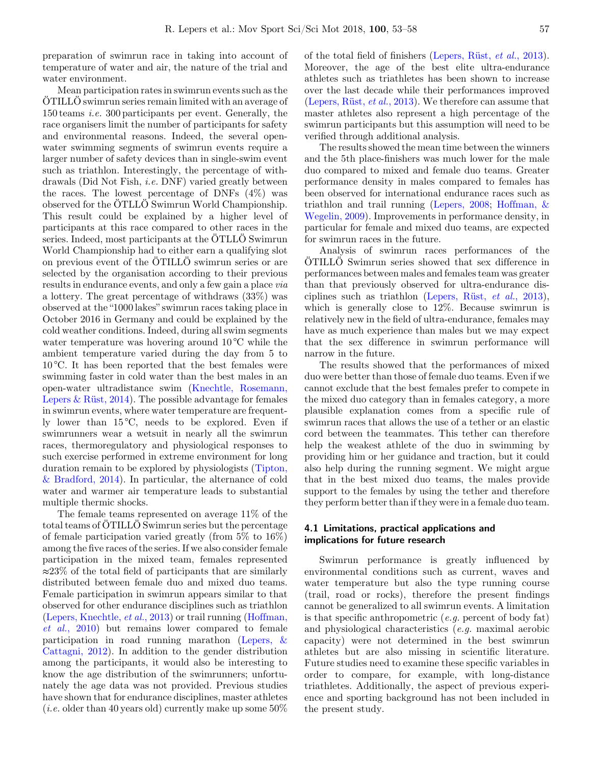preparation of swimrun race in taking into account of temperature of water and air, the nature of the trial and water environment.

Mean participation rates in swimrun events such as the ÖTILLÖ swimrun series remain limited with an average of 150 teams i.e. 300 participants per event. Generally, the race organisers limit the number of participants for safety and environmental reasons. Indeed, the several openwater swimming segments of swimrun events require a larger number of safety devices than in single-swim event such as triathlon. Interestingly, the percentage of withdrawals (Did Not Fish, i.e. DNF) varied greatly between the races. The lowest percentage of DNFs  $(4\%)$  was observed for the ÖTLLÖ Swimrun World Championship. This result could be explained by a higher level of participants at this race compared to other races in the series. Indeed, most participants at the ÖTLLÖ Swimrun World Championship had to either earn a qualifying slot on previous event of the ÖTILLÖ swimrun series or are selected by the organisation according to their previous results in endurance events, and only a few gain a place via a lottery. The great percentage of withdraws (33%) was observed at the "1000 lakes" swimrun races taking place in October 2016 in Germany and could be explained by the cold weather conditions. Indeed, during all swim segments water temperature was hovering around 10<sup>o</sup>C while the ambient temperature varied during the day from 5 to 10 °C. It has been reported that the best females were swimming faster in cold water than the best males in an open-water ultradistance swim [\(Knechtle, Rosemann,](#page-6-0) Lepers  $\&$  Rüst, 2014). The possible advantage for females in swimrun events, where water temperature are frequently lower than  $15\degree C$ , needs to be explored. Even if swimrunners wear a wetsuit in nearly all the swimrun races, thermoregulatory and physiological responses to such exercise performed in extreme environment for long duration remain to be explored by physiologists [\(Tipton,](#page-6-0) [& Bradford, 2014](#page-6-0)). In particular, the alternance of cold water and warmer air temperature leads to substantial multiple thermic shocks.

The female teams represented on average 11% of the total teams of ÖTILLÖ Swimrun series but the percentage of female participation varied greatly (from 5% to 16%) among the five races of the series. If we also consider female participation in the mixed team, females represented ≈23% of the total field of participants that are similarly distributed between female duo and mixed duo teams. Female participation in swimrun appears similar to that observed for other endurance disciplines such as triathlon [\(Lepers, Knechtle,](#page-6-0) et al., 2013) or trail running ([Hoffman,](#page-6-0) et al.[, 2010](#page-6-0)) but remains lower compared to female participation in road running marathon ([Lepers, &](#page-6-0) [Cattagni, 2012\)](#page-6-0). In addition to the gender distribution among the participants, it would also be interesting to know the age distribution of the swimrunners; unfortunately the age data was not provided. Previous studies have shown that for endurance disciplines, master athletes (*i.e.* older than 40 years old) currently make up some  $50\%$  of the total field of finishers ([Lepers, Rüst,](#page-6-0) et al., 2013). Moreover, the age of the best elite ultra-endurance athletes such as triathletes has been shown to increase over the last decade while their performances improved ([Lepers, Rüst,](#page-6-0) et al., 2013). We therefore can assume that master athletes also represent a high percentage of the swimrun participants but this assumption will need to be verified through additional analysis.

The results showed the mean time between the winners and the 5th place-finishers was much lower for the male duo compared to mixed and female duo teams. Greater performance density in males compared to females has been observed for international endurance races such as triathlon and trail running ([Lepers, 2008;](#page-6-0) [Hoffman, &](#page-6-0) [Wegelin, 2009\)](#page-6-0). Improvements in performance density, in particular for female and mixed duo teams, are expected for swimrun races in the future.

Analysis of swimrun races performances of the ÖTILLÖ Swimrun series showed that sex difference in performances between males and females team was greater than that previously observed for ultra-endurance disciplines such as triathlon [\(Lepers, Rüst,](#page-6-0) et al., 2013), which is generally close to 12%. Because swimrun is relatively new in the field of ultra-endurance, females may have as much experience than males but we may expect that the sex difference in swimrun performance will narrow in the future.

The results showed that the performances of mixed duo were better than those of female duo teams. Even if we cannot exclude that the best females prefer to compete in the mixed duo category than in females category, a more plausible explanation comes from a specific rule of swimrun races that allows the use of a tether or an elastic cord between the teammates. This tether can therefore help the weakest athlete of the duo in swimming by providing him or her guidance and traction, but it could also help during the running segment. We might argue that in the best mixed duo teams, the males provide support to the females by using the tether and therefore they perform better than if they were in a female duo team.

#### 4.1 Limitations, practical applications and implications for future research

Swimrun performance is greatly influenced by environmental conditions such as current, waves and water temperature but also the type running course (trail, road or rocks), therefore the present findings cannot be generalized to all swimrun events. A limitation is that specific anthropometric  $(e.g.$  percent of body fat) and physiological characteristics (e.g. maximal aerobic capacity) were not determined in the best swimrun athletes but are also missing in scientific literature. Future studies need to examine these specific variables in order to compare, for example, with long-distance triathletes. Additionally, the aspect of previous experience and sporting background has not been included in the present study.